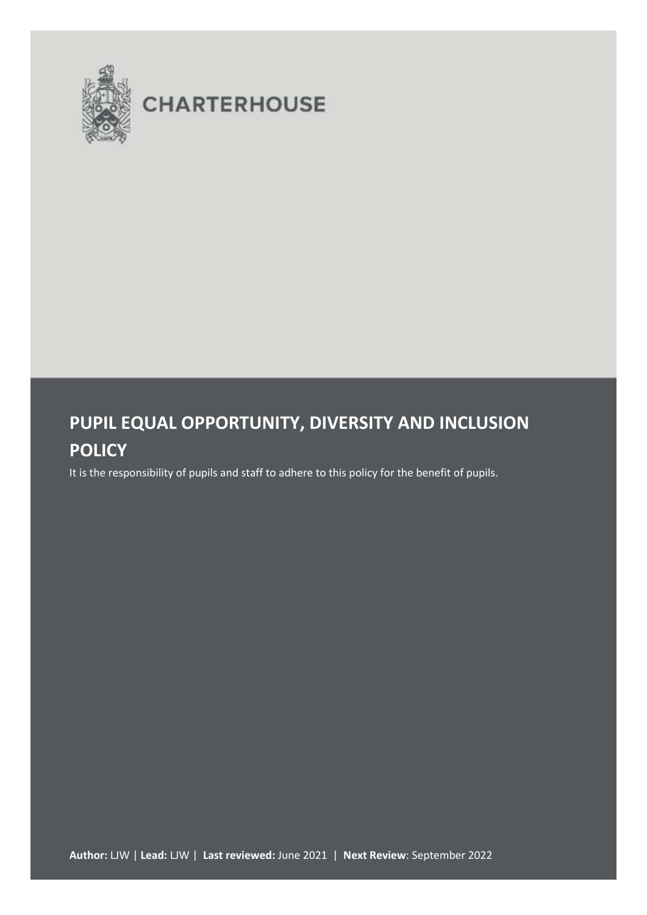

# **CHARTERHOUSE**

## **PUPIL EQUAL OPPORTUNITY, DIVERSITY AND INCLUSION POLICY**

It is the responsibility of pupils and staff to adhere to this policy for the benefit of pupils.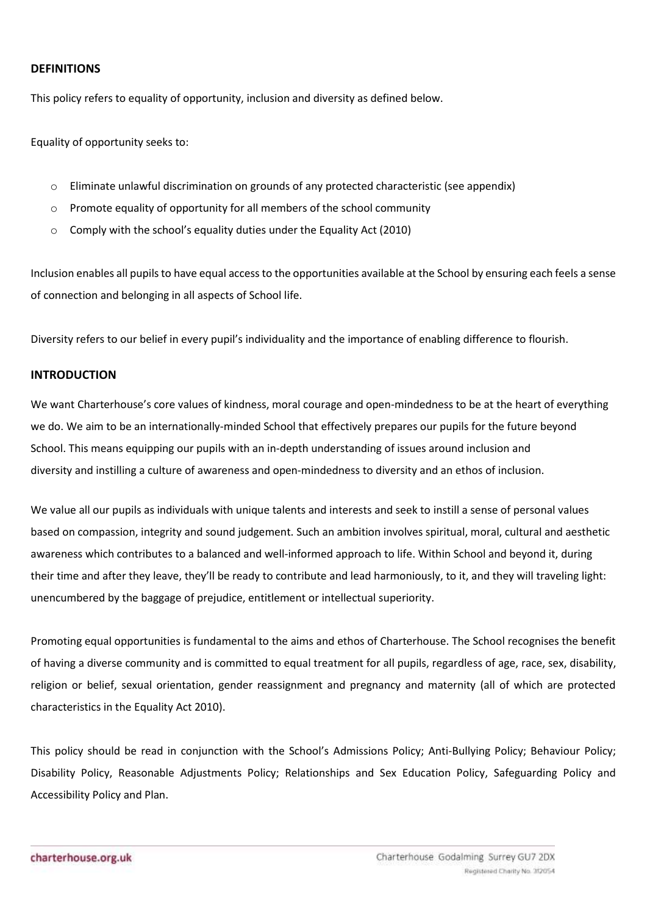## **DEFINITIONS**

This policy refers to equality of opportunity, inclusion and diversity as defined below.

Equality of opportunity seeks to:

- $\circ$  Eliminate unlawful discrimination on grounds of any protected characteristic (see appendix)
- o Promote equality of opportunity for all members of the school community
- o Comply with the school's equality duties under the Equality Act (2010)

Inclusion enables all pupils to have equal access to the opportunities available at the School by ensuring each feels a sense of connection and belonging in all aspects of School life.

Diversity refers to our belief in every pupil's individuality and the importance of enabling difference to flourish.

## **INTRODUCTION**

We want Charterhouse's core values of kindness, moral courage and open-mindedness to be at the heart of everything we do. We aim to be an internationally-minded School that effectively prepares our pupils for the future beyond School. This means equipping our pupils with an in-depth understanding of issues around inclusion and diversity and instilling a culture of awareness and open-mindedness to diversity and an ethos of inclusion.

We value all our pupils as individuals with unique talents and interests and seek to instill a sense of personal values based on compassion, integrity and sound judgement. Such an ambition involves spiritual, moral, cultural and aesthetic awareness which contributes to a balanced and well-informed approach to life. Within School and beyond it, during their time and after they leave, they'll be ready to contribute and lead harmoniously, to it, and they will traveling light: unencumbered by the baggage of prejudice, entitlement or intellectual superiority.

Promoting equal opportunities is fundamental to the aims and ethos of Charterhouse. The School recognises the benefit of having a diverse community and is committed to equal treatment for all pupils, regardless of age, race, sex, disability, religion or belief, sexual orientation, gender reassignment and pregnancy and maternity (all of which are protected characteristics in the Equality Act 2010).

This policy should be read in conjunction with the School's Admissions Policy; Anti-Bullying Policy; Behaviour Policy; Disability Policy, Reasonable Adjustments Policy; Relationships and Sex Education Policy, Safeguarding Policy and Accessibility Policy and Plan.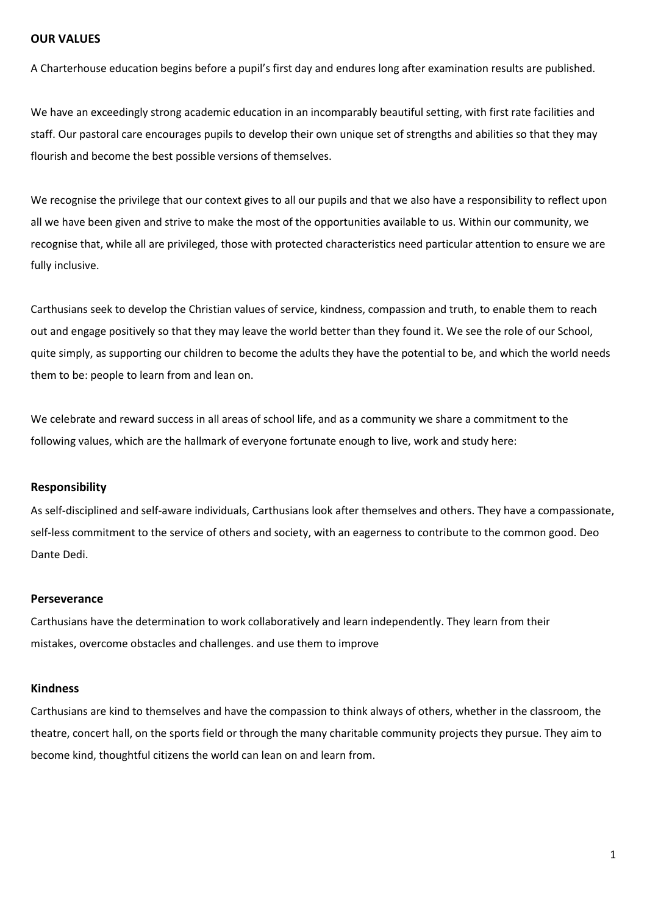## **OUR VALUES**

A Charterhouse education begins before a pupil's first day and endures long after examination results are published.

We have an exceedingly strong academic education in an incomparably beautiful setting, with first rate facilities and staff. Our pastoral care encourages pupils to develop their own unique set of strengths and abilities so that they may flourish and become the best possible versions of themselves.

We recognise the privilege that our context gives to all our pupils and that we also have a responsibility to reflect upon all we have been given and strive to make the most of the opportunities available to us. Within our community, we recognise that, while all are privileged, those with protected characteristics need particular attention to ensure we are fully inclusive.

Carthusians seek to develop the Christian values of service, kindness, compassion and truth, to enable them to reach out and engage positively so that they may leave the world better than they found it. We see the role of our School, quite simply, as supporting our children to become the adults they have the potential to be, and which the world needs them to be: people to learn from and lean on.

We celebrate and reward success in all areas of school life, and as a community we share a commitment to the following values, which are the hallmark of everyone fortunate enough to live, work and study here:

## **Responsibility**

As self-disciplined and self-aware individuals, Carthusians look after themselves and others. They have a compassionate, self-less commitment to the service of others and society, with an eagerness to contribute to the common good. Deo Dante Dedi.

#### **Perseverance**

Carthusians have the determination to work collaboratively and learn independently. They learn from their mistakes, overcome obstacles and challenges. and use them to improve

#### **Kindness**

Carthusians are kind to themselves and have the compassion to think always of others, whether in the classroom, the theatre, concert hall, on the sports field or through the many charitable community projects they pursue. They aim to become kind, thoughtful citizens the world can lean on and learn from.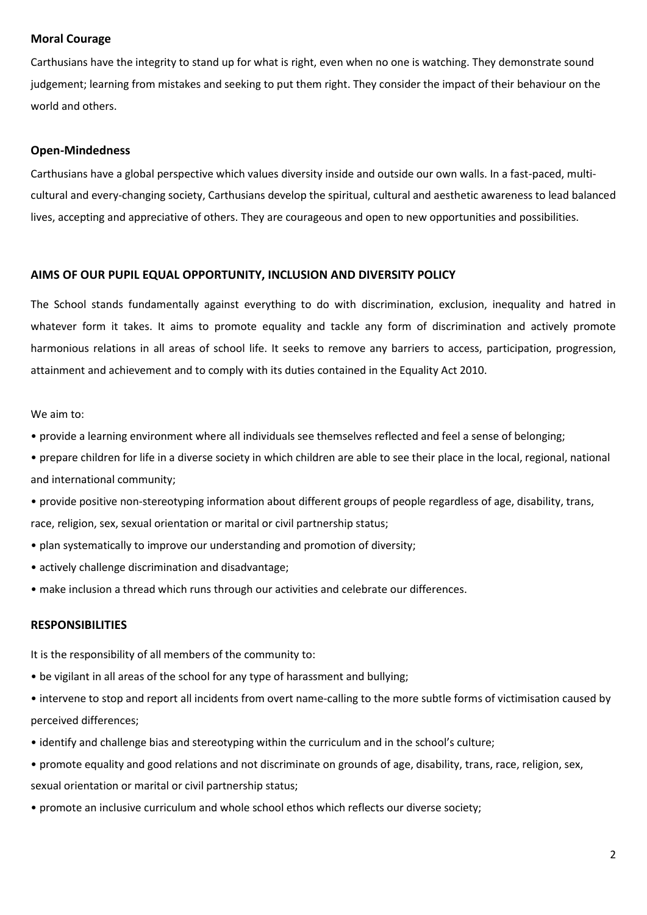## **Moral Courage**

Carthusians have the integrity to stand up for what is right, even when no one is watching. They demonstrate sound judgement; learning from mistakes and seeking to put them right. They consider the impact of their behaviour on the world and others.

## **Open-Mindedness**

Carthusians have a global perspective which values diversity inside and outside our own walls. In a fast-paced, multicultural and every-changing society, Carthusians develop the spiritual, cultural and aesthetic awareness to lead balanced lives, accepting and appreciative of others. They are courageous and open to new opportunities and possibilities.

## **AIMS OF OUR PUPIL EQUAL OPPORTUNITY, INCLUSION AND DIVERSITY POLICY**

The School stands fundamentally against everything to do with discrimination, exclusion, inequality and hatred in whatever form it takes. It aims to promote equality and tackle any form of discrimination and actively promote harmonious relations in all areas of school life. It seeks to remove any barriers to access, participation, progression, attainment and achievement and to comply with its duties contained in the Equality Act 2010.

## We aim to:

- provide a learning environment where all individuals see themselves reflected and feel a sense of belonging;
- prepare children for life in a diverse society in which children are able to see their place in the local, regional, national and international community;
- provide positive non-stereotyping information about different groups of people regardless of age, disability, trans, race, religion, sex, sexual orientation or marital or civil partnership status;
- plan systematically to improve our understanding and promotion of diversity;
- actively challenge discrimination and disadvantage;
- make inclusion a thread which runs through our activities and celebrate our differences.

## **RESPONSIBILITIES**

It is the responsibility of all members of the community to:

- be vigilant in all areas of the school for any type of harassment and bullying;
- intervene to stop and report all incidents from overt name-calling to the more subtle forms of victimisation caused by perceived differences;
- identify and challenge bias and stereotyping within the curriculum and in the school's culture;
- promote equality and good relations and not discriminate on grounds of age, disability, trans, race, religion, sex, sexual orientation or marital or civil partnership status;
- promote an inclusive curriculum and whole school ethos which reflects our diverse society;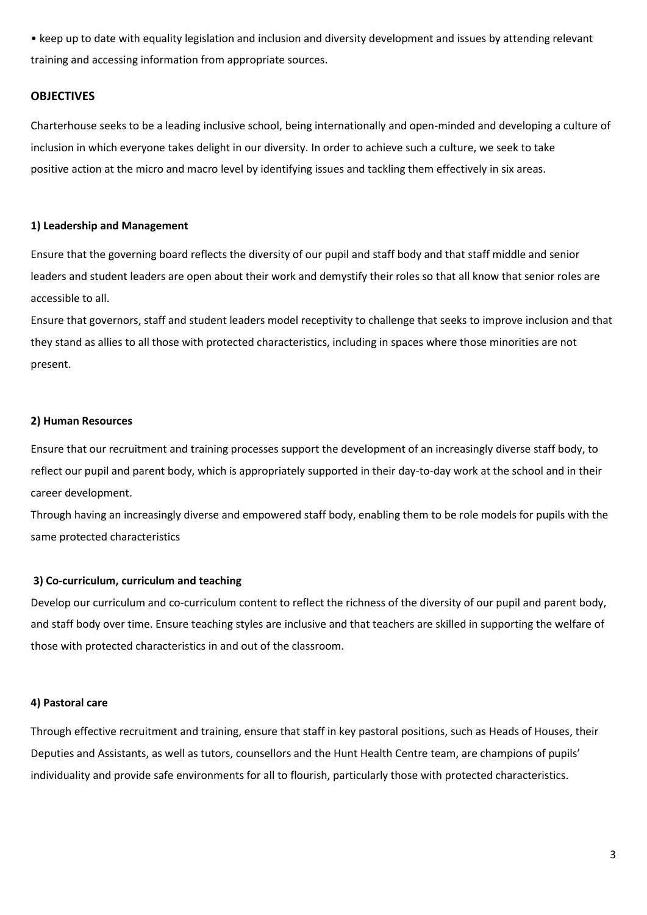• keep up to date with equality legislation and inclusion and diversity development and issues by attending relevant training and accessing information from appropriate sources.

#### **OBJECTIVES**

Charterhouse seeks to be a leading inclusive school, being internationally and open-minded and developing a culture of inclusion in which everyone takes delight in our diversity. In order to achieve such a culture, we seek to take positive action at the micro and macro level by identifying issues and tackling them effectively in six areas.

#### **1) Leadership and Management**

Ensure that the governing board reflects the diversity of our pupil and staff body and that staff middle and senior leaders and student leaders are open about their work and demystify their roles so that all know that senior roles are accessible to all.

Ensure that governors, staff and student leaders model receptivity to challenge that seeks to improve inclusion and that they stand as allies to all those with protected characteristics, including in spaces where those minorities are not present.

#### **2) Human Resources**

Ensure that our recruitment and training processes support the development of an increasingly diverse staff body, to reflect our pupil and parent body, which is appropriately supported in their day-to-day work at the school and in their career development.

Through having an increasingly diverse and empowered staff body, enabling them to be role models for pupils with the same protected characteristics

#### **3) Co-curriculum, curriculum and teaching**

Develop our curriculum and co-curriculum content to reflect the richness of the diversity of our pupil and parent body, and staff body over time. Ensure teaching styles are inclusive and that teachers are skilled in supporting the welfare of those with protected characteristics in and out of the classroom.

#### **4) Pastoral care**

Through effective recruitment and training, ensure that staff in key pastoral positions, such as Heads of Houses, their Deputies and Assistants, as well as tutors, counsellors and the Hunt Health Centre team, are champions of pupils' individuality and provide safe environments for all to flourish, particularly those with protected characteristics.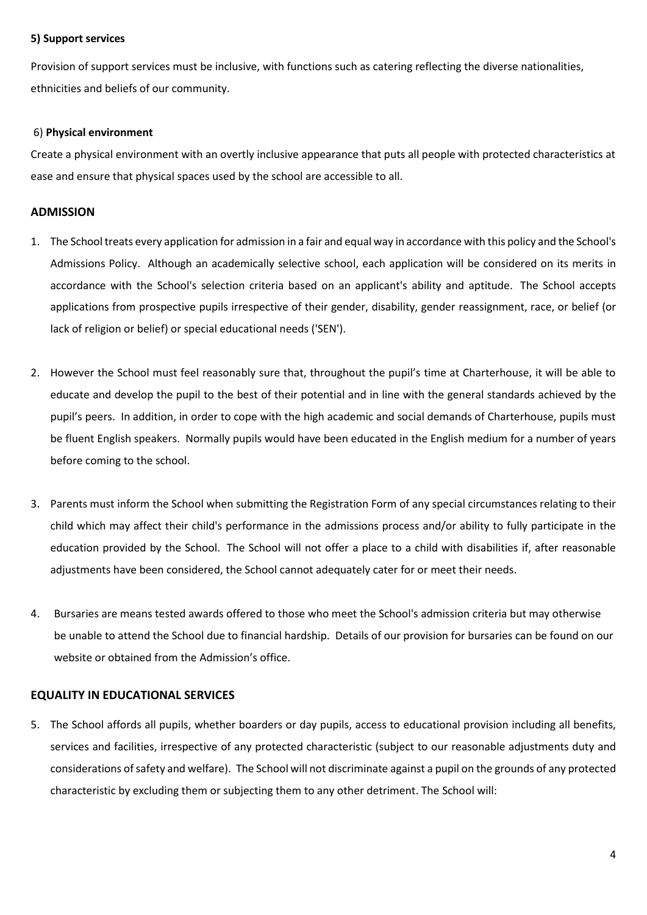## **5) Support services**

Provision of support services must be inclusive, with functions such as catering reflecting the diverse nationalities, ethnicities and beliefs of our community.

## 6) **Physical environment**

Create a physical environment with an overtly inclusive appearance that puts all people with protected characteristics at ease and ensure that physical spaces used by the school are accessible to all.

## **ADMISSION**

- 1. The School treats every application for admission in a fair and equal way in accordance with this policy and the School's Admissions Policy. Although an academically selective school, each application will be considered on its merits in accordance with the School's selection criteria based on an applicant's ability and aptitude. The School accepts applications from prospective pupils irrespective of their gender, disability, gender reassignment, race, or belief (or lack of religion or belief) or special educational needs ('SEN').
- 2. However the School must feel reasonably sure that, throughout the pupil's time at Charterhouse, it will be able to educate and develop the pupil to the best of their potential and in line with the general standards achieved by the pupil's peers. In addition, in order to cope with the high academic and social demands of Charterhouse, pupils must be fluent English speakers. Normally pupils would have been educated in the English medium for a number of years before coming to the school.
- 3. Parents must inform the School when submitting the Registration Form of any special circumstances relating to their child which may affect their child's performance in the admissions process and/or ability to fully participate in the education provided by the School. The School will not offer a place to a child with disabilities if, after reasonable adjustments have been considered, the School cannot adequately cater for or meet their needs.
- 4. Bursaries are means tested awards offered to those who meet the School's admission criteria but may otherwise be unable to attend the School due to financial hardship. Details of our provision for bursaries can be found on our website or obtained from the Admission's office.

## **EQUALITY IN EDUCATIONAL SERVICES**

5. The School affords all pupils, whether boarders or day pupils, access to educational provision including all benefits, services and facilities, irrespective of any protected characteristic (subject to our reasonable adjustments duty and considerations of safety and welfare). The School will not discriminate against a pupil on the grounds of any protected characteristic by excluding them or subjecting them to any other detriment. The School will: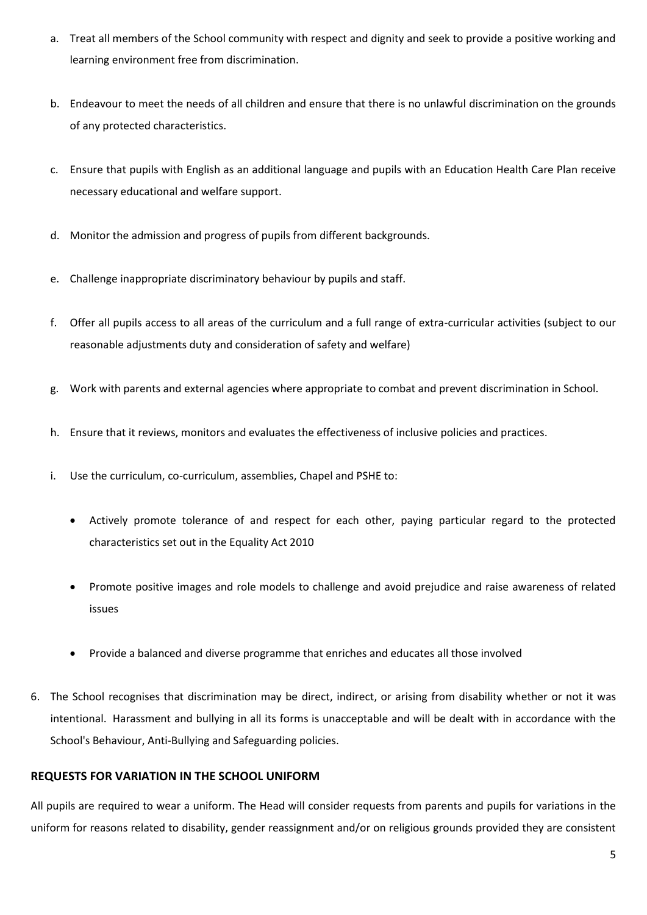- a. Treat all members of the School community with respect and dignity and seek to provide a positive working and learning environment free from discrimination.
- b. Endeavour to meet the needs of all children and ensure that there is no unlawful discrimination on the grounds of any protected characteristics.
- c. Ensure that pupils with English as an additional language and pupils with an Education Health Care Plan receive necessary educational and welfare support.
- d. Monitor the admission and progress of pupils from different backgrounds.
- e. Challenge inappropriate discriminatory behaviour by pupils and staff.
- f. Offer all pupils access to all areas of the curriculum and a full range of extra-curricular activities (subject to our reasonable adjustments duty and consideration of safety and welfare)
- g. Work with parents and external agencies where appropriate to combat and prevent discrimination in School.
- h. Ensure that it reviews, monitors and evaluates the effectiveness of inclusive policies and practices.
- i. Use the curriculum, co-curriculum, assemblies, Chapel and PSHE to:
	- Actively promote tolerance of and respect for each other, paying particular regard to the protected characteristics set out in the Equality Act 2010
	- Promote positive images and role models to challenge and avoid prejudice and raise awareness of related issues
	- Provide a balanced and diverse programme that enriches and educates all those involved
- 6. The School recognises that discrimination may be direct, indirect, or arising from disability whether or not it was intentional. Harassment and bullying in all its forms is unacceptable and will be dealt with in accordance with the School's Behaviour, Anti-Bullying and Safeguarding policies.

## **REQUESTS FOR VARIATION IN THE SCHOOL UNIFORM**

All pupils are required to wear a uniform. The Head will consider requests from parents and pupils for variations in the uniform for reasons related to disability, gender reassignment and/or on religious grounds provided they are consistent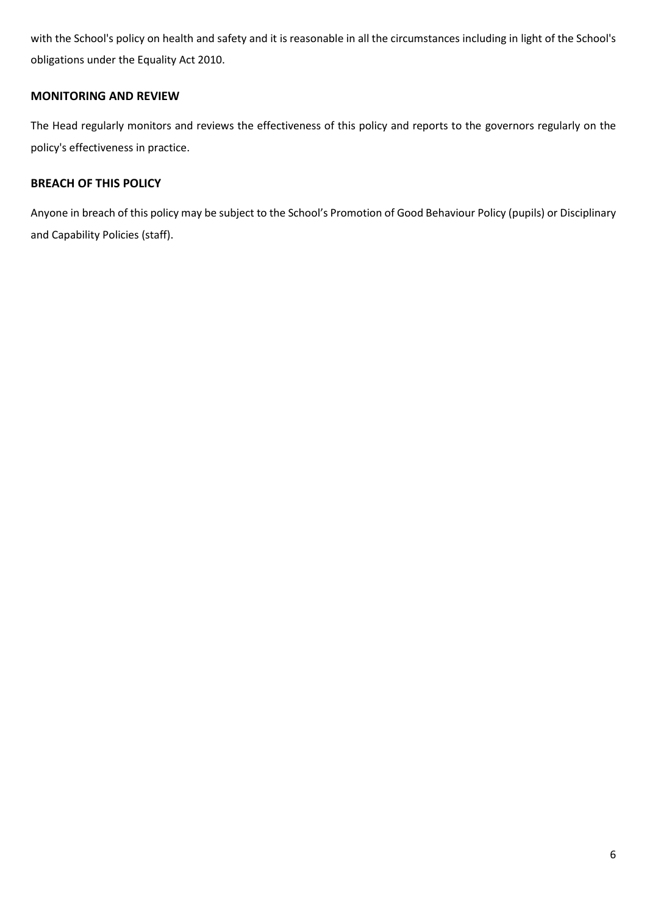with the School's policy on health and safety and it is reasonable in all the circumstances including in light of the School's obligations under the Equality Act 2010.

## **MONITORING AND REVIEW**

The Head regularly monitors and reviews the effectiveness of this policy and reports to the governors regularly on the policy's effectiveness in practice.

## **BREACH OF THIS POLICY**

Anyone in breach of this policy may be subject to the School's Promotion of Good Behaviour Policy (pupils) or Disciplinary and Capability Policies (staff).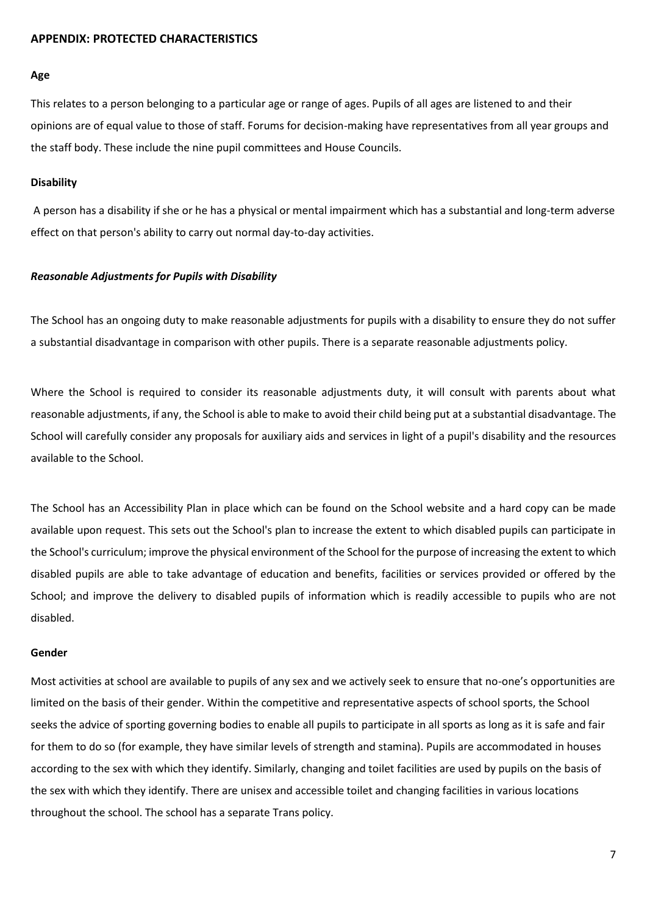#### **APPENDIX: PROTECTED CHARACTERISTICS**

#### **Age**

This relates to a person belonging to a particular age or range of ages. Pupils of all ages are listened to and their opinions are of equal value to those of staff. Forums for decision-making have representatives from all year groups and the staff body. These include the nine pupil committees and House Councils.

#### **Disability**

A person has a disability if she or he has a physical or mental impairment which has a substantial and long-term adverse effect on that person's ability to carry out normal day-to-day activities.

#### *Reasonable Adjustments for Pupils with Disability*

The School has an ongoing duty to make reasonable adjustments for pupils with a disability to ensure they do not suffer a substantial disadvantage in comparison with other pupils. There is a separate reasonable adjustments policy.

Where the School is required to consider its reasonable adjustments duty, it will consult with parents about what reasonable adjustments, if any, the School is able to make to avoid their child being put at a substantial disadvantage. The School will carefully consider any proposals for auxiliary aids and services in light of a pupil's disability and the resources available to the School.

The School has an Accessibility Plan in place which can be found on the School website and a hard copy can be made available upon request. This sets out the School's plan to increase the extent to which disabled pupils can participate in the School's curriculum; improve the physical environment of the School for the purpose of increasing the extent to which disabled pupils are able to take advantage of education and benefits, facilities or services provided or offered by the School; and improve the delivery to disabled pupils of information which is readily accessible to pupils who are not disabled.

#### **Gender**

Most activities at school are available to pupils of any sex and we actively seek to ensure that no-one's opportunities are limited on the basis of their gender. Within the competitive and representative aspects of school sports, the School seeks the advice of sporting governing bodies to enable all pupils to participate in all sports as long as it is safe and fair for them to do so (for example, they have similar levels of strength and stamina). Pupils are accommodated in houses according to the sex with which they identify. Similarly, changing and toilet facilities are used by pupils on the basis of the sex with which they identify. There are unisex and accessible toilet and changing facilities in various locations throughout the school. The school has a separate Trans policy.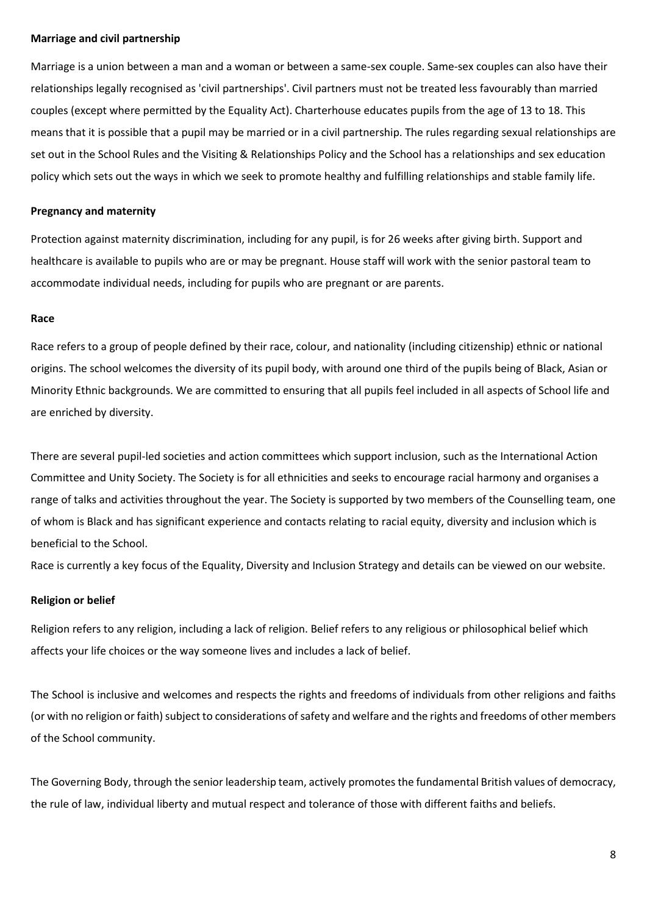#### **Marriage and civil partnership**

Marriage is a union between a man and a woman or between a same-sex couple. Same-sex couples can also have their relationships legally recognised as 'civil partnerships'. Civil partners must not be treated less favourably than married couples (except where permitted by the Equality Act). Charterhouse educates pupils from the age of 13 to 18. This means that it is possible that a pupil may be married or in a civil partnership. The rules regarding sexual relationships are set out in the School Rules and the Visiting & Relationships Policy and the School has a relationships and sex education policy which sets out the ways in which we seek to promote healthy and fulfilling relationships and stable family life.

#### **Pregnancy and maternity**

Protection against maternity discrimination, including for any pupil, is for 26 weeks after giving birth. Support and healthcare is available to pupils who are or may be pregnant. House staff will work with the senior pastoral team to accommodate individual needs, including for pupils who are pregnant or are parents.

#### **Race**

Race refers to a group of people defined by their race, colour, and nationality (including citizenship) ethnic or national origins. The school welcomes the diversity of its pupil body, with around one third of the pupils being of Black, Asian or Minority Ethnic backgrounds. We are committed to ensuring that all pupils feel included in all aspects of School life and are enriched by diversity.

There are several pupil-led societies and action committees which support inclusion, such as the International Action Committee and Unity Society. The Society is for all ethnicities and seeks to encourage racial harmony and organises a range of talks and activities throughout the year. The Society is supported by two members of the Counselling team, one of whom is Black and has significant experience and contacts relating to racial equity, diversity and inclusion which is beneficial to the School.

Race is currently a key focus of the Equality, Diversity and Inclusion Strategy and details can be viewed on our website.

#### **Religion or belief**

Religion refers to any religion, including a lack of religion. Belief refers to any religious or philosophical belief which affects your life choices or the way someone lives and includes a lack of belief.

The School is inclusive and welcomes and respects the rights and freedoms of individuals from other religions and faiths (or with no religion or faith) subject to considerations of safety and welfare and the rights and freedoms of other members of the School community.

The Governing Body, through the senior leadership team, actively promotes the fundamental British values of democracy, the rule of law, individual liberty and mutual respect and tolerance of those with different faiths and beliefs.